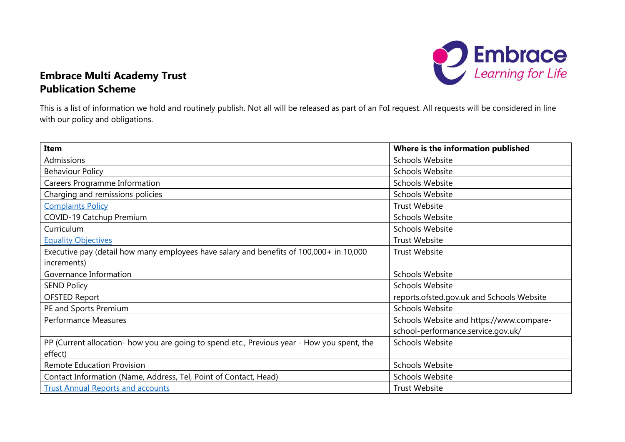

## **Embrace Multi Academy Trust Publication Scheme**

This is a list of information we hold and routinely publish. Not all will be released as part of an FoI request. All requests will be considered in line with our policy and obligations.

| Item                                                                                        | Where is the information published        |
|---------------------------------------------------------------------------------------------|-------------------------------------------|
| Admissions                                                                                  | <b>Schools Website</b>                    |
| <b>Behaviour Policy</b>                                                                     | <b>Schools Website</b>                    |
| <b>Careers Programme Information</b>                                                        | <b>Schools Website</b>                    |
| Charging and remissions policies                                                            | <b>Schools Website</b>                    |
| <b>Complaints Policy</b>                                                                    | <b>Trust Website</b>                      |
| COVID-19 Catchup Premium                                                                    | <b>Schools Website</b>                    |
| Curriculum                                                                                  | <b>Schools Website</b>                    |
| <b>Equality Objectives</b>                                                                  | <b>Trust Website</b>                      |
| Executive pay (detail how many employees have salary and benefits of 100,000+ in 10,000     | <b>Trust Website</b>                      |
| increments)                                                                                 |                                           |
| Governance Information                                                                      | Schools Website                           |
| <b>SEND Policy</b>                                                                          | <b>Schools Website</b>                    |
| <b>OFSTED Report</b>                                                                        | reports.ofsted.gov.uk and Schools Website |
| PE and Sports Premium                                                                       | <b>Schools Website</b>                    |
| <b>Performance Measures</b>                                                                 | Schools Website and https://www.compare-  |
|                                                                                             | school-performance.service.gov.uk/        |
| PP (Current allocation- how you are going to spend etc., Previous year - How you spent, the | <b>Schools Website</b>                    |
| effect)                                                                                     |                                           |
| <b>Remote Education Provision</b>                                                           | <b>Schools Website</b>                    |
| Contact Information (Name, Address, Tel, Point of Contact, Head)                            | <b>Schools Website</b>                    |
| <b>Trust Annual Reports and accounts</b>                                                    | <b>Trust Website</b>                      |